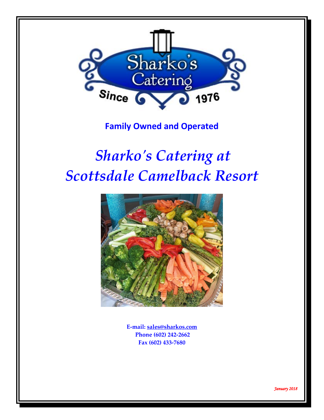

# **Family Owned and Operated**

# *Sharko's Catering at Scottsdale Camelback Resort*



**E-mail: [sales@sharkos.com](mailto:sales@sharkos.com) Phone (602) 242-2662 Fax (602) 433-7680**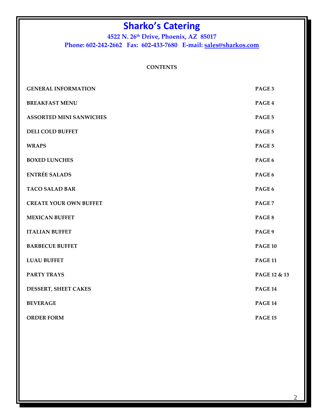**4522 N. 26th Drive, Phoenix, AZ 85017 Phone: 602-242-2662 Fax: 602-433-7680 E-mail: [sales@sharkos.com](mailto:sales@sharkos.com)**

### **CONTENTS**

| <b>GENERAL INFORMATION</b>     | PAGE 3         |
|--------------------------------|----------------|
| <b>BREAKFAST MENU</b>          | PAGE 4         |
| <b>ASSORTED MINI SANWICHES</b> | PAGE 5         |
| <b>DELI COLD BUFFET</b>        | PAGE 5         |
| <b>WRAPS</b>                   | PAGE 5         |
| <b>BOXED LUNCHES</b>           | PAGE 6         |
| <b>ENTRÉE SALADS</b>           | PAGE 6         |
| <b>TACO SALAD BAR</b>          | PAGE 6         |
| <b>CREATE YOUR OWN BUFFET</b>  | PAGE 7         |
| <b>MEXICAN BUFFET</b>          | PAGE 8         |
| <b>ITALIAN BUFFET</b>          | PAGE 9         |
| <b>BARBECUE BUFFET</b>         | <b>PAGE 10</b> |
| <b>LUAU BUFFET</b>             | <b>PAGE 11</b> |
| <b>PARTY TRAYS</b>             | PAGE 12 & 13   |
| DESSERT, SHEET CAKES           | <b>PAGE 14</b> |
| <b>BEVERAGE</b>                | <b>PAGE 14</b> |
| <b>ORDER FORM</b>              | <b>PAGE 15</b> |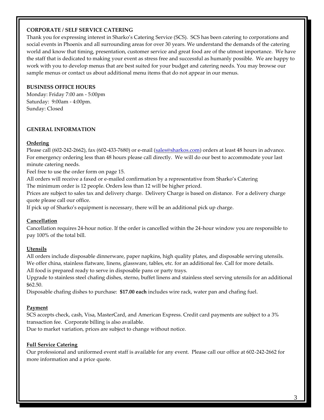#### **CORPORATE / SELF SERVICE CATERING**

Thank you for expressing interest in Sharko's Catering Service (SCS). SCS has been catering to corporations and social events in Phoenix and all surrounding areas for over 30 years. We understand the demands of the catering world and know that timing, presentation, customer service and great food are of the utmost importance. We have the staff that is dedicated to making your event as stress free and successful as humanly possible. We are happy to work with you to develop menus that are best suited for your budget and catering needs. You may browse our sample menus or contact us about additional menu items that do not appear in our menus.

#### **BUSINESS OFFICE HOURS**

Monday: Friday 7:00 am - 5:00pm Saturday: 9:00am - 4:00pm. Sunday: Closed

#### **GENERAL INFORMATION**

#### **Ordering**

Please call (602-242-2662), fax (602-433-7680) or e-mail [\(sales@sharkos.com\)](mailto:sales@sharkos.com) orders at least 48 hours in advance. For emergency ordering less than 48 hours please call directly. We will do our best to accommodate your last minute catering needs.

Feel free to use the order form on page 15.

All orders will receive a faxed or e-mailed confirmation by a representative from Sharko's Catering The minimum order is 12 people. Orders less than 12 will be higher priced.

Prices are subject to sales tax and delivery charge. Delivery Charge is based on distance. For a delivery charge quote please call our office.

If pick up of Sharko's equipment is necessary, there will be an additional pick up charge.

#### **Cancellation**

Cancellation requires 24-hour notice. If the order is cancelled within the 24-hour window you are responsible to pay 100% of the total bill.

#### **Utensils**

All orders include disposable dinnerware, paper napkins, high quality plates, and disposable serving utensils. We offer china, stainless flatware, linens, glassware, tables, etc. for an additional fee. Call for more details. All food is prepared ready to serve in disposable pans or party trays.

Upgrade to stainless steel chafing dishes, sterno, buffet linens and stainless steel serving utensils for an additional \$62.50.

Disposable chafing dishes to purchase: **\$17.00 each** includes wire rack, water pan and chafing fuel.

#### **Payment**

SCS accepts check, cash, Visa, MasterCard, and American Express. Credit card payments are subject to a 3% transaction fee. Corporate billing is also available.

Due to market variation, prices are subject to change without notice.

#### **Full Service Catering**

Our professional and uniformed event staff is available for any event. Please call our office at 602-242-2662 for more information and a price quote.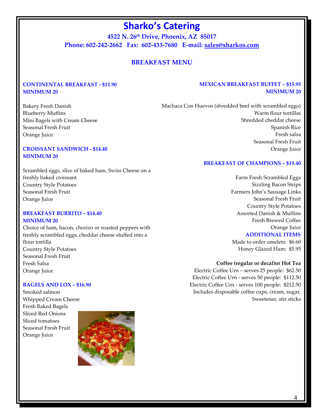**4522 N. 26th Drive, Phoenix, AZ 85017 Phone: 602-242-2662 Fax: 602-433-7680 E-mail: [sales@sharkos.com](mailto:sales@sharkos.com)**

# **BREAKFAST MENU**

### **CONTINENTAL BREAKFAST - \$11.90 MINIMUM 20**

### **MEXICAN BREAKFAST BUFFET – \$15.95 MINIMUM 20**

Bakery Fresh Danish Blueberry Muffins Mini Bagels with Cream Cheese Seasonal Fresh Fruit Orange Juice

### **CROISSANT SANDWICH - \$14.40 MINIMUM 20**

Scrambled eggs, slice of baked ham, Swiss Cheese on a freshly baked croissant Country Style Potatoes Seasonal Fresh Fruit Orange Juice

#### **BREAKFAST BURRITO – \$14.40 MINIMUM 20**

Choice of ham, bacon, chorizo or roasted peppers with freshly scrambled eggs, cheddar cheese stuffed into a flour tortilla Country Style Potatoes Seasonal Fresh Fruit Fresh Salsa Orange Juice

#### **BAGELS AND LOX – \$16.90**

Smoked salmon Whipped Cream Cheese Fresh Baked Bagels Sliced Red Onions Sliced tomatoes Seasonal Fresh Fruit Orange Juice



Machaca Con Huevos (shredded beef with scrambled eggs) Warm flour tortillas Shredded cheddar cheese Spanish Rice Fresh salsa Seasonal Fresh Fruit Orange Juice

#### **BREAKFAST OF CHAMPIONS – \$19.40**

Farm Fresh Scrambled Eggs Sizzling Bacon Strips Farmers John's Sausage Links Seasonal Fresh Fruit Country Style Potatoes Assorted Danish & Muffins Fresh Brewed Coffee Orange Juice

#### **ADDITIONAL ITEMS**

Made to order omelets: \$6.60 Honey Glazed Ham: \$5.95

#### **Coffee (regular or decaf)or Hot Tea**

Electric Coffee Urn – serves 25 people: \$62.50 Electric Coffee Urn - serves 50 people: \$112.50 Electric Coffee Urn - serves 100 people: \$212.50 Includes disposable coffee cups, cream, sugar, Sweetener, stir sticks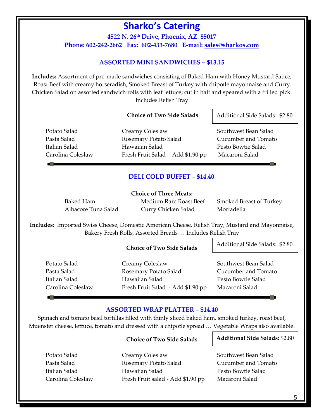**4522 N. 26th Drive, Phoenix, AZ 85017 Phone: 602-242-2662 Fax: 602-433-7680 E-mail: [sales@sharkos.com](mailto:sales@sharkos.com)**

# **ASSORTED MINI SANDWICHES – \$13.15**

**Includes:** Assortment of pre-made sandwiches consisting of Baked Ham with Honey Mustard Sauce, Roast Beef with creamy horseradish, Smoked Breast of Turkey with chipotle mayonnaise and Curry Chicken Salad on assorted sandwich rolls with leaf lettuce; cut in half and speared with a frilled pick. Includes Relish Tray

#### **Choice of Two Side Salads**

Potato Salad Creamy Coleslaw Southwest Bean Salad Pasta Salad Rosemary Potato Salad Cucumber and Tomato Italian Salad Hawaiian Salad Pesto Bowtie Salad Carolina Coleslaw Fresh Fruit Salad - Add \$1.90 pp Macaroni Salad

Additional Side Salads: \$2.80

### **DELI COLD BUFFET – \$14.40**

**Choice of Three Meats:** 

Albacore Tuna Salad Curry Chicken Salad Mortadella

Baked Ham Medium Rare Roast Beef Smoked Breast of Turkey

**Includes**: Imported Swiss Cheese, Domestic American Cheese, Relish Tray, Mustard and Mayonnaise, Bakery Fresh Rolls, Assorted Breads … Includes Relish Tray

#### **Choice of Two Side Salads**

Additional Side Salads: \$2.80

Potato Salad Creamy Coleslaw Southwest Bean Salad Pasta Salad **Rosemary Potato Salad** Cucumber and Tomato Italian Salad Hawaiian Salad Pesto Bowtie Salad Carolina Coleslaw Fresh Fruit Salad - Add \$1.90 pp Macaroni Salad

### **ASSORTED WRAP PLATTER – \$14.40**

Spinach and tomato basil tortillas filled with thinly sliced baked ham, smoked turkey, roast beef, Muenster cheese, lettuce, tomato and dressed with a chipotle spread … Vegetable Wraps also available.

### **Choice of Two Side Salads**

Potato Salad Creamy Coleslaw Southwest Bean Salad Pasta Salad Rosemary Potato Salad Cucumber and Tomato Italian Salad Hawaiian Salad Pesto Bowtie Salad Carolina Coleslaw Fresh Fruit salad - Add \$1.90 pp Macaroni Salad

#### **Additional Side Salads:** \$2.80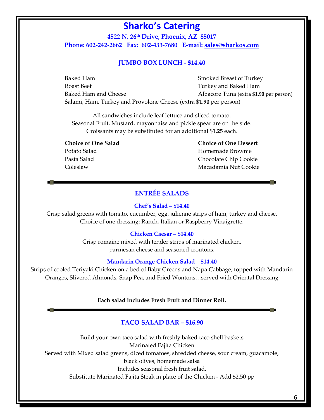**4522 N. 26th Drive, Phoenix, AZ 85017 Phone: 602-242-2662 Fax: 602-433-7680 E-mail: [sales@sharkos.com](mailto:sales@sharkos.com)**

#### **JUMBO BOX LUNCH - \$14.40**

Baked Ham Smoked Breast of Turkey Roast Beef Turkey and Baked Ham Baked Ham and Cheese **Albacore Tuna** (extra \$1.90 per person) Salami, Ham, Turkey and Provolone Cheese (extra \$**1.90** per person)

All sandwiches include leaf lettuce and sliced tomato. Seasonal Fruit, Mustard, mayonnaise and pickle spear are on the side. Croissants may be substituted for an additional \$**1.25** each.

 **Choice of One Salad Choice of One Dessert** Potato Salad **Homemade Brownie** Pasta Salad Chocolate Chip Cookie Coleslaw Macadamia Nut Cookie

# **ENTRÉE SALADS**

#### **Chef's Salad – \$14.40**

Crisp salad greens with tomato, cucumber, egg, julienne strips of ham, turkey and cheese. Choice of one dressing: Ranch, Italian or Raspberry Vinaigrette.

#### **Chicken Caesar – \$14.40**

Crisp romaine mixed with tender strips of marinated chicken, parmesan cheese and seasoned croutons.

#### **Mandarin Orange Chicken Salad – \$14.40**

Strips of cooled Teriyaki Chicken on a bed of Baby Greens and Napa Cabbage; topped with Mandarin Oranges, Slivered Almonds, Snap Pea, and Fried Wontons…served with Oriental Dressing

#### **Each salad includes Fresh Fruit and Dinner Roll.**

#### **TACO SALAD BAR – \$16.90**

Build your own taco salad with freshly baked taco shell baskets Marinated Fajita Chicken Served with Mixed salad greens, diced tomatoes, shredded cheese, sour cream, guacamole, black olives, homemade salsa Includes seasonal fresh fruit salad. Substitute Marinated Fajita Steak in place of the Chicken - Add \$2.50 pp

6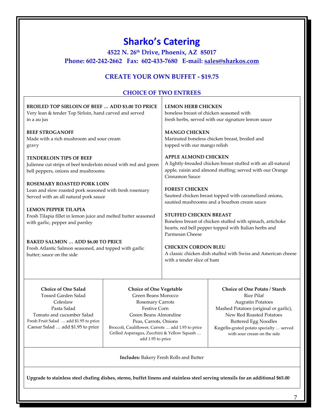|                                                                                                                                                                                          | 4522 N. 26th Drive, Phoenix, AZ 85017<br>Phone: 602-242-2662 Fax: 602-433-7680 E-mail: sales@sharkos.com                                                                                                                                                                           | <b>Sharko's Catering</b>                                              |                                                                                                                                                                                                                                                                     |
|------------------------------------------------------------------------------------------------------------------------------------------------------------------------------------------|------------------------------------------------------------------------------------------------------------------------------------------------------------------------------------------------------------------------------------------------------------------------------------|-----------------------------------------------------------------------|---------------------------------------------------------------------------------------------------------------------------------------------------------------------------------------------------------------------------------------------------------------------|
|                                                                                                                                                                                          | <b>CREATE YOUR OWN BUFFET - \$19.75</b>                                                                                                                                                                                                                                            |                                                                       |                                                                                                                                                                                                                                                                     |
|                                                                                                                                                                                          |                                                                                                                                                                                                                                                                                    | <b>CHOICE OF TWO ENTREES</b>                                          |                                                                                                                                                                                                                                                                     |
| <b>BROILED TOP SIRLOIN OF BEEF  ADD \$3.00 TO PRICE</b><br>Very lean & tender Top Sirloin, hand carved and served<br>in a au jus                                                         |                                                                                                                                                                                                                                                                                    | <b>LEMON HERB CHICKEN</b><br>boneless breast of chicken seasoned with | fresh herbs, served with our signature lemon sauce                                                                                                                                                                                                                  |
| <b>BEEF STROGANOFF</b><br>Made with a rich mushroom and sour cream<br>gravy                                                                                                              |                                                                                                                                                                                                                                                                                    | <b>MANGO CHICKEN</b><br>topped with our mango relish                  | Marinated boneless chicken breast, broiled and                                                                                                                                                                                                                      |
| <b>TENDERLOIN TIPS OF BEEF</b><br>Julienne cut strips of beef tenderloin mixed with red and green<br>bell peppers, onions and mushrooms                                                  |                                                                                                                                                                                                                                                                                    | <b>APPLE ALMOND CHICKEN</b><br>Cinnamon Sauce                         | A lightly-breaded chicken breast stuffed with an all-natural<br>apple, raisin and almond stuffing; served with our Orange                                                                                                                                           |
| <b>ROSEMARY ROASTED PORK LOIN</b><br>Lean and slow roasted pork seasoned with fresh rosemary<br>Served with an all natural pork sauce                                                    |                                                                                                                                                                                                                                                                                    | <b>FOREST CHICKEN</b>                                                 | Sauteed chicken breast topped with caramelized onions,<br>sautéed mushrooms and a bourbon cream sauce                                                                                                                                                               |
| <b>LEMON PEPPER TILAPIA</b><br>Fresh Tilapia fillet in lemon juice and melted butter seasoned<br>with garlic, pepper and parsley                                                         |                                                                                                                                                                                                                                                                                    | <b>STUFFED CHICKEN BREAST</b><br>Parmesan Cheese                      | Boneless breast of chicken stuffed with spinach, artichoke<br>hearts, red bell pepper topped with Italian herbs and                                                                                                                                                 |
| <b>BAKED SALMON  ADD \$6.00 TO PRICE</b><br>Fresh Atlantic Salmon seasoned, and topped with garlic<br>butter; sauce on the side                                                          |                                                                                                                                                                                                                                                                                    | <b>CHICKEN CORDON BLEU</b><br>with a tender slice of ham              | A classic chicken dish stuffed with Swiss and American cheese                                                                                                                                                                                                       |
| <b>Choice of One Salad</b><br>Tossed Garden Salad<br>Coleslaw<br>Pasta Salad<br>Tomato and cucumber Salad<br>Fresh Fruit Salad  add \$1.95 to price<br>Caesar Salad  add \$1.95 to price | <b>Choice of One Vegetable</b><br>Green Beans Morocco<br><b>Rosemary Carrots</b><br><b>Festive Corn</b><br>Green Beans Almondine<br>Peas, Carrots, Onions<br>Broccoli, Cauliflower, Carrots  add 1.95 to price<br>Grilled Asparagus, Zucchini & Yellow Squash<br>add 1.95 to price |                                                                       | <b>Choice of One Potato / Starch</b><br><b>Rice Pilaf</b><br><b>Augratin Potatoes</b><br>Mashed Potatoes (original or garlic),<br>New Red Roasted Potatoes<br><b>Buttered Egg Noodles</b><br>Kugelis-grated potato specialty  served<br>with sour cream on the side |
|                                                                                                                                                                                          |                                                                                                                                                                                                                                                                                    | <b>Includes:</b> Bakery Fresh Rolls and Butter                        |                                                                                                                                                                                                                                                                     |

7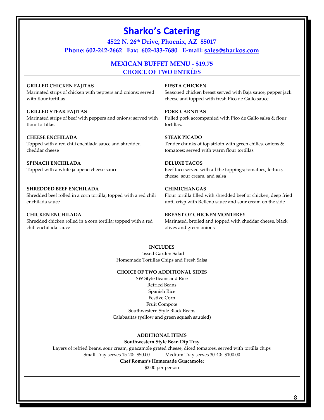| <b>Sharko's Catering</b><br>4522 N. 26th Drive, Phoenix, AZ 85017<br>Phone: 602-242-2662 Fax: 602-433-7680 E-mail: sales@sharkos.com |                                                                                                                    |  |
|--------------------------------------------------------------------------------------------------------------------------------------|--------------------------------------------------------------------------------------------------------------------|--|
|                                                                                                                                      | <b>MEXICAN BUFFET MENU - \$19.75</b><br><b>CHOICE OF TWO ENTRÉES</b>                                               |  |
| <b>GRILLED CHICKEN FAJITAS</b>                                                                                                       | <b>FIESTA CHICKEN</b>                                                                                              |  |
| Marinated strips of chicken with peppers and onions; served                                                                          | Seasoned chicken breast served with Baja sauce, pepper jack                                                        |  |
| with flour tortillas                                                                                                                 | cheese and topped with fresh Pico de Gallo sauce                                                                   |  |
| <b>GRILLED STEAK FAJITAS</b>                                                                                                         | <b>PORK CARNITAS</b>                                                                                               |  |
| Marinated strips of beef with peppers and onions; served with                                                                        | Pulled pork accompanied with Pico de Gallo salsa & flour                                                           |  |
| flour tortillas.                                                                                                                     | tortillas.                                                                                                         |  |
| <b>CHEESE ENCHILADA</b>                                                                                                              | <b>STEAK PICADO</b>                                                                                                |  |
| Topped with a red chili enchilada sauce and shredded                                                                                 | Tender chunks of top sirloin with green chilies, onions &                                                          |  |
| cheddar cheese                                                                                                                       | tomatoes; served with warm flour tortillas                                                                         |  |
| <b>SPINACH ENCHILADA</b><br>Topped with a white jalapeno cheese sauce                                                                | <b>DELUXE TACOS</b><br>Beef taco served with all the toppings; tomatoes, lettuce,<br>cheese, sour cream, and salsa |  |
| <b>SHREDDED BEEF ENCHILADA</b>                                                                                                       | <b>CHIMICHANGAS</b>                                                                                                |  |
| Shredded beef rolled in a corn tortilla; topped with a red chili                                                                     | Flour tortilla filled with shredded beef or chicken, deep fried                                                    |  |
| enchilada sauce                                                                                                                      | until crisp with Relleno sauce and sour cream on the side                                                          |  |
| <b>CHICKEN ENCHILADA</b>                                                                                                             | <b>BREAST OF CHICKEN MONTEREY</b>                                                                                  |  |
| Shredded chicken rolled in a corn tortilla; topped with a red                                                                        | Marinated, broiled and topped with cheddar cheese, black                                                           |  |
| chili enchilada sauce                                                                                                                | olives and green onions                                                                                            |  |

#### **INCLUDES**

Tossed Garden Salad Homemade Tortillas Chips and Fresh Salsa

#### **CHOICE OF TWO ADDITIONAL SIDES**

SW Style Beans and Rice Refried Beans Spanish Rice Festive Corn Fruit Compote Southwestern Style Black Beans Calabasitas (yellow and green squash sautéed)

#### **ADDITIONAL ITEMS**

#### **Southwestern Style Bean Dip Tray**

Layers of refried beans, sour cream, guacamole grated cheese, diced tomatoes, served with tortilla chips Small Tray serves 15-20: \$50.00 Medium Tray serves 30-40: \$100.00

#### **Chef Roman's Homemade Guacamole:**

\$2.00 per person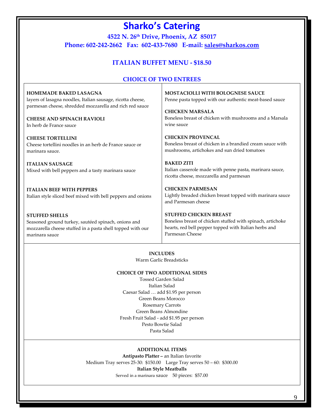**4522 N. 26th Drive, Phoenix, AZ 85017 Phone: 602-242-2662 Fax: 602-433-7680 E-mail: [sales@sharkos.com](mailto:sales@sharkos.com)**

# **ITALIAN BUFFET MENU - \$18.50**

# **CHOICE OF TWO ENTREES**

| <b>HOMEMADE BAKED LASAGNA</b><br>layers of lasagna noodles, Italian sausage, ricotta cheese,<br>parmesan cheese, shredded mozzarella and rich red sauce<br><b>CHEESE AND SPINACH RAVIOLI</b> | <b>MOSTACIOLLI WITH BOLOGNESE SAUCE</b><br>Penne pasta topped with our authentic meat-based sauce<br><b>CHICKEN MARSALA</b><br>Boneless breast of chicken with mushrooms and a Marsala<br>wine sauce |
|----------------------------------------------------------------------------------------------------------------------------------------------------------------------------------------------|------------------------------------------------------------------------------------------------------------------------------------------------------------------------------------------------------|
| In herb de France sauce<br><b>CHEESE TORTELLINI</b><br>Cheese tortellini noodles in an herb de France sauce or<br>marinara sauce.                                                            | <b>CHICKEN PROVENCAL</b><br>Boneless breast of chicken in a brandied cream sauce with<br>mushrooms, artichokes and sun dried tomatoes                                                                |
| <b>ITALIAN SAUSAGE</b><br>Mixed with bell peppers and a tasty marinara sauce                                                                                                                 | <b>BAKED ZITI</b><br>Italian casserole made with penne pasta, marinara sauce,<br>ricotta cheese, mozzarella and parmesan                                                                             |
| <b>ITALIAN BEEF WITH PEPPERS</b><br>Italian style sliced beef mixed with bell peppers and onions                                                                                             | <b>CHICKEN PARMESAN</b><br>Lightly breaded chicken breast topped with marinara sauce<br>and Parmesan cheese                                                                                          |
| <b>STUFFED SHELLS</b><br>Seasoned ground turkey, sautéed spinach, onions and<br>mozzarella cheese stuffed in a pasta shell topped with our<br>marinara sauce                                 | <b>STUFFED CHICKEN BREAST</b><br>Boneless breast of chicken stuffed with spinach, artichoke<br>hearts, red bell pepper topped with Italian herbs and<br>Parmesan Cheese                              |

#### **INCLUDES**

Warm Garlic Breadsticks

#### **CHOICE OF TWO ADDITIONAL SIDES**

Tossed Garden Salad Italian Salad Caesar Salad … add \$1.95 per person Green Beans Morocco Rosemary Carrots Green Beans Almondine Fresh Fruit Salad - add \$1.95 per person Pesto Bowtie Salad Pasta Salad

#### **ADDITIONAL ITEMS**

**Antipasto Platter –** an Italian favorite Medium Tray serves 25-30: \$150.00 Large Tray serves 50 – 60: \$300.00 **Italian Style Meatballs** Served in a marinara sauce 50 pieces: \$57.00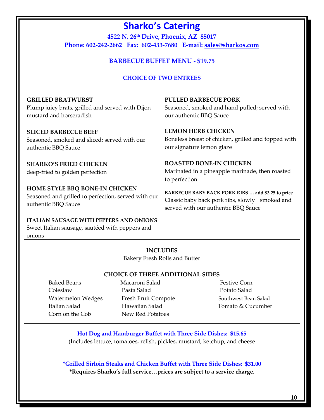**4522 N. 26 th Drive, Phoenix, AZ 85017 Phone: 602-242-2662 Fax: 602-433-7680 E-mail: [sales@sharkos.com](mailto:sales@sharkos.com)**

# **BARBECUE BUFFET MENU - \$19.75**

# **CHOICE OF TWO ENTREES**

| <b>GRILLED BRATWURST</b>                                                                                    | <b>PULLED BARBECUE PORK</b>                                                                        |
|-------------------------------------------------------------------------------------------------------------|----------------------------------------------------------------------------------------------------|
| Plump juicy brats, grilled and served with Dijon                                                            | Seasoned, smoked and hand pulled; served with                                                      |
| mustard and horseradish                                                                                     | our authentic BBQ Sauce                                                                            |
| <b>SLICED BARBECUE BEEF</b>                                                                                 | <b>LEMON HERB CHICKEN</b>                                                                          |
| Seasoned, smoked and sliced; served with our                                                                | Boneless breast of chicken, grilled and topped with                                                |
| authentic BBQ Sauce                                                                                         | our signature lemon glaze                                                                          |
| <b>SHARKO'S FRIED CHICKEN</b><br>deep-fried to golden perfection                                            | <b>ROASTED BONE-IN CHICKEN</b><br>Marinated in a pineapple marinade, then roasted<br>to perfection |
| <b>HOME STYLE BBQ BONE-IN CHICKEN</b>                                                                       | BARBECUE BABY BACK PORK RIBS  add \$3.25 to price                                                  |
| Seasoned and grilled to perfection, served with our                                                         | Classic baby back pork ribs, slowly smoked and                                                     |
| authentic BBQ Sauce                                                                                         | served with our authentic BBQ Sauce                                                                |
| <b>ITALIAN SAUSAGE WITH PEPPERS AND ONIONS</b><br>Sweet Italian sausage, sautéed with peppers and<br>onions |                                                                                                    |

### **INCLUDES**

Bakery Fresh Rolls and Butter

### **CHOICE OF THREE ADDITIONAL SIDES**

- ColeslawPasta Salad Potato Salad Watermelon Wedges Fresh Fruit Compote Southwest Bean Salad Italian SaladHawaiian Salad Tomato & Cucumber Corn on the Cob New Red Potatoes
- **Baked Beans Macaroni Salad Festive Corn** 
	-

# **Hot Dog and Hamburger Buffet with Three Side Dishes: \$15.65** (Includes lettuce, tomatoes, relish, pickles, mustard, ketchup, and cheese

**\*Grilled Sirloin Steaks and Chicken Buffet with Three Side Dishes: \$31.00 \*Requires Sharko's full service…prices are subject to a service charge.**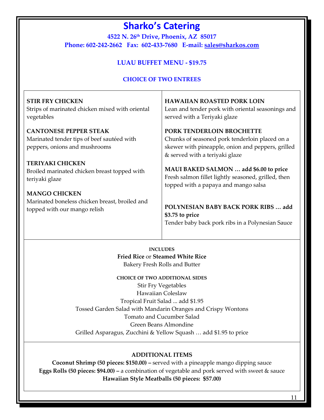**4522 N. 26th Drive, Phoenix, AZ 85017 Phone: 602-242-2662 Fax: 602-433-7680 E-mail: [sales@sharkos.com](mailto:sales@sharkos.com)**

# **LUAU BUFFET MENU - \$19.75**

# **CHOICE OF TWO ENTREES**

| <b>STIR FRY CHICKEN</b>                                                                                      | <b>HAWAIIAN ROASTED PORK LOIN</b>                                                                                                                                  |
|--------------------------------------------------------------------------------------------------------------|--------------------------------------------------------------------------------------------------------------------------------------------------------------------|
| Strips of marinated chicken mixed with oriental                                                              | Lean and tender pork with oriental seasonings and                                                                                                                  |
| vegetables                                                                                                   | served with a Teriyaki glaze                                                                                                                                       |
| <b>CANTONESE PEPPER STEAK</b><br>Marinated tender tips of beef sautéed with<br>peppers, onions and mushrooms | PORK TENDERLOIN BROCHETTE<br>Chunks of seasoned pork tenderloin placed on a<br>skewer with pineapple, onion and peppers, grilled<br>& served with a teriyaki glaze |
| <b>TERIYAKI CHICKEN</b>                                                                                      | MAUI BAKED SALMON  add \$6.00 to price                                                                                                                             |
| Broiled marinated chicken breast topped with                                                                 | Fresh salmon fillet lightly seasoned, grilled, then                                                                                                                |
| teriyaki glaze                                                                                               | topped with a papaya and mango salsa                                                                                                                               |
| <b>MANGO CHICKEN</b>                                                                                         | POLYNESIAN BABY BACK PORK RIBS  add                                                                                                                                |
| Marinated boneless chicken breast, broiled and                                                               | \$3.75 to price                                                                                                                                                    |
| topped with our mango relish                                                                                 | Tender baby back pork ribs in a Polynesian Sauce                                                                                                                   |

**INCLUDES Fried Rice** or **Steamed White Rice** Bakery Fresh Rolls and Butter

**CHOICE OF TWO ADDITIONAL SIDES** Stir Fry Vegetables Hawaiian Coleslaw Tropical Fruit Salad ... add \$1.95 Tossed Garden Salad with Mandarin Oranges and Crispy Wontons Tomato and Cucumber Salad Green Beans Almondine Grilled Asparagus, Zucchini & Yellow Squash … add \$1.95 to price

### **ADDITIONAL ITEMS**

**Coconut Shrimp (50 pieces: \$150.00) –** served with a pineapple mango dipping sauce **Eggs Rolls (50 pieces: \$94.00) –** a combination of vegetable and pork served with sweet & sauce **Hawaiian Style Meatballs (50 pieces: \$57.00)**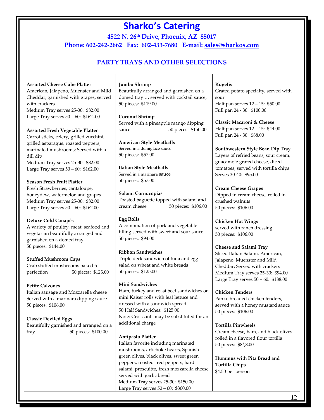**4522 N. 26th Drive, Phoenix, AZ 85017 Phone: 602-242-2662 Fax: 602-433-7680 E-mail: [sales@sharkos.com](mailto:sales@sharkos.com)**

# **PARTY TRAYS AND OTHER SELECTIONS**

#### **Assorted Cheese Cube Platter**

American, Jalapeno, Muenster and Mild Cheddar; garnished with grapes, served with crackers Medium Tray serves 25-30: \$82.00 Large Tray serves 50 – 60: \$162..00

#### **Assorted Fresh Vegetable Platter**

Carrot sticks, celery, grilled zucchini, grilled asparagus, roasted peppers, marinated mushrooms; Served with a dill dip Medium Tray serves 25-30: \$82.00 Large Tray serves 50 – 60: \$162.00

#### **Season Fresh Fruit Platter**

Fresh Strawberries, cantaloupe, honeydew, watermelon and grapes Medium Tray serves 25-30: \$82.00 Large Tray serves 50 – 60: \$162.00

#### **Deluxe Cold Canapés**

A variety of poultry, meat, seafood and vegetarian beautifully arranged and garnished on a domed tray 50 pieces: \$144.00

#### **Stuffed Mushroom Caps**

Crab stuffed mushrooms baked to<br>perfection 50 pieces: \$12 50 pieces: \$125.00

#### **Petite Calzones**

Italian sausage and Mozzarella cheese Served with a marinara dipping sauce 50 pieces: \$106.00

**Classic Deviled Eggs** Beautifully garnished and arranged on a tray 50 pieces: \$100.00

#### **Jumbo Shrimp**

Beautifully arranged and garnished on a domed tray … served with cocktail sauce, 50 pieces: \$119.00

#### **Coconut Shrimp**

Served with a pineapple mango dipping sauce 50 pieces: \$150.00

**American Style Meatballs** Served in a demiglace sauce 50 pieces: \$57.00

#### **Italian Style Meatballs**

Served in a marinara sauce 50 pieces: \$57.00

**Salami Cornucopias** Toasted baguette topped with salami and cream cheese 50 pieces: \$106.00

#### **Egg Rolls**

A combination of pork and vegetable filling served with sweet and sour sauce 50 pieces: \$94.00

### **Ribbon Sandwiches**

Triple deck sandwich of tuna and egg salad on wheat and white breads 50 pieces: \$125.00

#### **Mini Sandwiches**

Ham, turkey and roast beef sandwiches on mini Kaiser rolls with leaf lettuce and dressed with a sandwich spread 50 Half Sandwiches: \$125.00 Note: Croissants may be substituted for an additional charge

#### **Antipasto Platter**

Italian favorite including marinated mushrooms, artichoke hearts, Spanish green olives, black olives, sweet green peppers, roasted red peppers, hard salami, proscuitto, fresh mozzarella cheese served with garlic bread Medium Tray serves 25-30: \$150.00 Large Tray serves 50 – 60: \$300.00

**Kugelis** Grated potato specialty, served with sour Half pan serves 12 – 15: \$50.00 Full pan 24 - 30: \$100.00

**Classic Macaroni & Cheese**  Half pan serves 12 – 15: \$44.00 Full pan 24 - 30: \$88.00

**Southwestern Style Bean Dip Tray** Layers of refried beans, sour cream, guacamole grated cheese, diced tomatoes, served with tortilla chips Serves 30-40: \$95.00

#### **Cream Cheese Grapes**

Dipped in cream cheese, rolled in crushed walnuts 50 pieces: \$106.00

### **Chicken Hot Wings**

served with ranch dressing 50 pieces: \$106.00

#### **Cheese and Salami Tray**

Sliced Italian Salami, American, Jalapeno, Muenster and Mild Cheddar; Served with crackers Medium Tray serves 25-30: \$94.00 Large Tray serves 50 – 60: \$188.00

#### **Chicken Tenders**

Panko breaded chicken tenders, served with a honey mustard sauce 50 pieces: \$106.00

#### **Tortilla Pinwheels**

Cream cheese, ham, and black olives rolled in a flavored flour tortilla 50 pieces: \$8\8.00

**Hummus with Pita Bread and Tortilla Chips** \$4.50 per person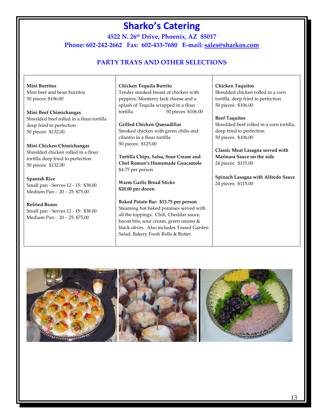**4522 N. 26th Drive, Phoenix, AZ 85017 Phone: 602-242-2662 Fax: 602-433-7680 E-mail: [sales@sharkos.com](mailto:sales@sharkos.com)**

# **PARTY TRAYS AND OTHER SELECTIONS**

**Mini Burritos** Mini beef and bean burritos 50 pieces: \$106.00

**Mini Beef Chimichangas**  Shredded beef rolled in a flour tortilla deep fried to perfection 50 pieces: \$132.00

**Mini Chicken Chimichangas**  Shredded chicken rolled in a flour tortilla deep fried to perfection 50 pieces: \$132.00

**Spanish Rice** Small pan - Serves 12 - 15: \$38.00 Medium Pan - 20 – 25: \$75.00

**Refried Beans** Small pan - Serves 12 - 15: \$38.00 Medium Pan - 20 – 25: \$75.00

**Chicken Tequila Burrito** Tender smoked breast of chicken with peppers, Monterey Jack cheese and a splash of Tequila wrapped in a flour tortilla. 50 pieces: \$106.00

**Grilled Chicken Quesadillas** Smoked chicken with green chilis and cilantro in a flour tortilla 50 pieces: \$125.00

**Tortilla Chips, Salsa, Sour Cream and Chef Roman's Homemade Guacamole** \$4.75 per person

**Warm Garlic Bread Sticks \$20.00 per dozen**

**Baked Potato Bar: \$13.75 per person** Steaming hot baked potatoes served with all the toppings: Chili, Cheddar sauce, bacon bits, sour cream, green onions & black olives. Also includes Tossed Garden Salad, Bakery Fresh Rolls & Butter.

**Chicken Taquitos**  Shredded chicken rolled in a corn tortilla, deep fried to perfection 50 pieces: \$106.00

#### **Beef Taquitos**

Shredded beef rolled in a corn tortilla, deep fried to perfection 50 pieces: \$106.00

**Classic Meat Lasagna served with Marinara Sauce on the side** 24 pieces: \$115.00

**Spinach Lasagna with Alfredo Sauce** 24 pieces: \$115.00

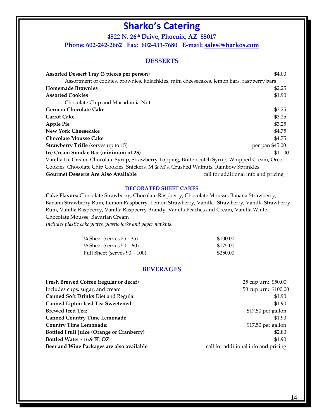**4522 N. 26th Drive, Phoenix, AZ 85017 Phone: 602-242-2662 Fax: 602-433-7680 E-mail: [sales@sharkos.com](mailto:sales@sharkos.com)**

#### **DESSERTS**

| <b>Assorted Dessert Tray (3 pieces per person)</b>                                              | \$4.00                               |
|-------------------------------------------------------------------------------------------------|--------------------------------------|
| Assortment of cookies, brownies, kolachkies, mini cheesecakes, lemon bars, raspberry bars       |                                      |
| <b>Homemade Brownies</b>                                                                        | \$2.25                               |
| <b>Assorted Cookies</b>                                                                         | \$1.90                               |
| Chocolate Chip and Macadamia Nut                                                                |                                      |
| <b>German Chocolate Cake</b>                                                                    | \$3.25                               |
| <b>Carrot Cake</b>                                                                              | \$3.25                               |
| <b>Apple Pie</b>                                                                                | \$3.25                               |
| <b>New York Cheesecake</b>                                                                      | \$4.75                               |
| <b>Chocolate Mousse Cake</b>                                                                    | \$4.75                               |
| <b>Strawberry Trifle</b> (serves up to 15)                                                      | per pan \$45.00                      |
| Ice Cream Sundae Bar (minimum of 25)                                                            | \$11.00                              |
| Vanilla Ice Cream, Chocolate Syrup, Strawberry Topping, Butterscotch Syrup, Whipped Cream, Oreo |                                      |
| Cookies, Chocolate Chip Cookies, Snickers, M & M's, Crushed Walnuts, Rainbow Sprinkles          |                                      |
| <b>Gourmet Desserts Are Also Available</b>                                                      | call for additional info and pricing |

#### **DECORATED SHEET CAKES**

**Cake Flavors:** Chocolate Strawberry, Chocolate Raspberry, Chocolate Mousse, Banana Strawberry, Banana Strawberry Rum, Lemon Raspberry, Lemon Strawberry, Vanilla Strawberry, Vanilla Strawberry Rum, Vanilla Raspberry, Vanilla Raspberry Brandy, Vanilla Peaches and Cream, Vanilla White Chocolate Mousse, Bavarian Cream

*Includes plastic cake plates, plastic forks and paper napkins.*

| $\frac{1}{4}$ Sheet (serves 25 - 35) | \$100.00 |
|--------------------------------------|----------|
| $\frac{1}{2}$ Sheet (serves 50 – 60) | \$175.00 |
| Full Sheet (serves $90 - 100$ )      | \$250.00 |

#### **BEVERAGES**

| Includes cups, sugar, and cream<br>50 cup urn: \$100.00<br>Canned Soft Drinks Diet and Regular<br>\$1.90<br><b>Canned Lipton Iced Tea Sweetened:</b><br>\$1.90<br><b>Brewed Iced Tea:</b><br>\$17.50 per gallon<br><b>Canned Country Time Lemonade:</b><br>\$1.90 |  |
|-------------------------------------------------------------------------------------------------------------------------------------------------------------------------------------------------------------------------------------------------------------------|--|
|                                                                                                                                                                                                                                                                   |  |
|                                                                                                                                                                                                                                                                   |  |
|                                                                                                                                                                                                                                                                   |  |
|                                                                                                                                                                                                                                                                   |  |
|                                                                                                                                                                                                                                                                   |  |
| <b>Country Time Lemonade:</b><br>\$17.50 per gallon                                                                                                                                                                                                               |  |
| <b>Bottled Fruit Juice (Orange or Cranberry)</b><br>\$2.80                                                                                                                                                                                                        |  |
| Bottled Water - 16.9 FL OZ<br>\$1.90                                                                                                                                                                                                                              |  |
| Beer and Wine Packages are also available<br>call for additional info and pricing                                                                                                                                                                                 |  |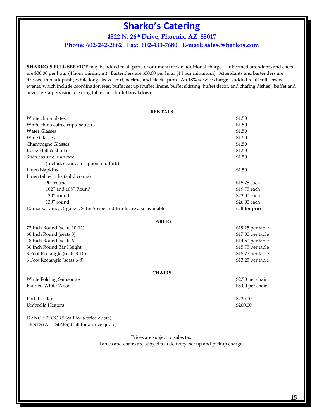# **4522 N. 26th Drive, Phoenix, AZ 85017 Phone: 602-242-2662 Fax: 602-433-7680 E-mail: [sales@sharkos.com](mailto:sales@sharkos.com)**

**SHARKO'S FULL SERVICE** may be added to all parts of our menu for an additional charge. Uniformed attendants and chefs are \$30.00 per hour (4 hour minimum). Bartenders are \$30.00 per hour (4 hour minimum). Attendants and bartenders are dressed in black pants, white long sleeve shirt, necktie, and black apron. An 18% service charge is added to all full service events, which include coordination fees, buffet set up (buffet linens, buffet skirting, buffet décor, and chafing dishes), buffet and beverage supervision, clearing tables and buffet breakdown.

| <b>RENTALS</b>                                                    |                   |
|-------------------------------------------------------------------|-------------------|
| White china plates                                                | \$1.50            |
| White china coffee cups, saucers                                  | \$1.50            |
| <b>Water Glasses</b>                                              | \$1.50            |
| <b>Wine Glasses</b>                                               | \$1.50            |
| Champagne Glasses                                                 | \$1.50            |
| Rocks (tall & short)                                              | \$1.50            |
| Stainless steel flatware                                          | \$1.50            |
| (Includes knife, teaspoon and fork)                               |                   |
| <b>Linen Napkins</b>                                              | \$1.50            |
| Linen tablecloths (solid colors)                                  |                   |
| 90" round                                                         | \$15.75 each      |
| 102" and 108" Round                                               | \$19.75 each      |
| 120" round                                                        | \$23.00 each      |
| 130" round                                                        | \$26.00 each      |
| Damask, Lame, Organza, Satin Stripe and Prints are also available | call for prices   |
| <b>TABLES</b>                                                     |                   |
| 72 Inch Round (seats 10-12)                                       | \$19.25 per table |
| 60 Inch Round (seats 8)                                           | \$17.00 per table |
| 48 Inch Round (seats 6)                                           | \$14.50 per table |
| 36 Inch Round Bar Height                                          | \$15.75 per table |
| 8 Foot Rectangle (seats 8-10)                                     | \$15.75 per table |
| 6 Foot Rectangle (seats 6-8)                                      | \$13.25 per table |
| <b>CHAIRS</b>                                                     |                   |
| White Folding Samsonite                                           | \$2.50 per chair  |
| Padded White Wood                                                 | \$5.00 per chair  |
|                                                                   |                   |
| Portable Bar                                                      | \$225.00          |
| Umbrella Heaters                                                  | \$200.00          |
|                                                                   |                   |

DANCE FLOORS (call for a price quote) TENTS (ALL SIZES) (call for a price quote)

Prices are subject to sales tax.

Tables and chairs are subject to a delivery, set up and pickup charge.